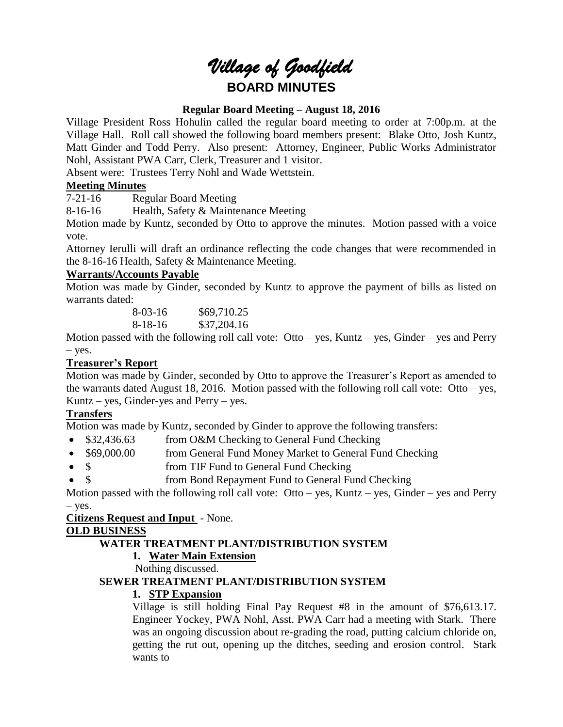# *Village of Goodfield* **BOARD MINUTES**

#### **Regular Board Meeting – August 18, 2016**

Village President Ross Hohulin called the regular board meeting to order at 7:00p.m. at the Village Hall. Roll call showed the following board members present: Blake Otto, Josh Kuntz, Matt Ginder and Todd Perry. Also present: Attorney, Engineer, Public Works Administrator Nohl, Assistant PWA Carr, Clerk, Treasurer and 1 visitor.

Absent were: Trustees Terry Nohl and Wade Wettstein.

## **Meeting Minutes**

7-21-16 Regular Board Meeting

8-16-16 Health, Safety & Maintenance Meeting

Motion made by Kuntz, seconded by Otto to approve the minutes. Motion passed with a voice vote.

Attorney Ierulli will draft an ordinance reflecting the code changes that were recommended in the 8-16-16 Health, Safety & Maintenance Meeting.

#### **Warrants/Accounts Payable**

Motion was made by Ginder, seconded by Kuntz to approve the payment of bills as listed on warrants dated:

> 8-03-16 \$69,710.25 8-18-16 \$37,204.16

Motion passed with the following roll call vote:  $Otto - yes$ , Kuntz – yes, Ginder – yes and Perry – yes.

## **Treasurer's Report**

Motion was made by Ginder, seconded by Otto to approve the Treasurer's Report as amended to the warrants dated August 18, 2016. Motion passed with the following roll call vote: Otto – yes, Kuntz – yes, Ginder-yes and Perry – yes.

## **Transfers**

Motion was made by Kuntz, seconded by Ginder to approve the following transfers:

- \$32,436.63 from O&M Checking to General Fund Checking
- \$69,000.00 from General Fund Money Market to General Fund Checking
- \$ from TIF Fund to General Fund Checking
- \$ from Bond Repayment Fund to General Fund Checking

Motion passed with the following roll call vote:  $Ot$ to – yes, Kuntz – yes, Ginder – yes and Perry – yes.

#### **Citizens Request and Input** - None.

#### **OLD BUSINESS**

## **WATER TREATMENT PLANT/DISTRIBUTION SYSTEM**

## **1. Water Main Extension**

Nothing discussed.

## **SEWER TREATMENT PLANT/DISTRIBUTION SYSTEM**

#### **1. STP Expansion**

Village is still holding Final Pay Request #8 in the amount of \$76,613.17. Engineer Yockey, PWA Nohl, Asst. PWA Carr had a meeting with Stark. There was an ongoing discussion about re-grading the road, putting calcium chloride on, getting the rut out, opening up the ditches, seeding and erosion control. Stark wants to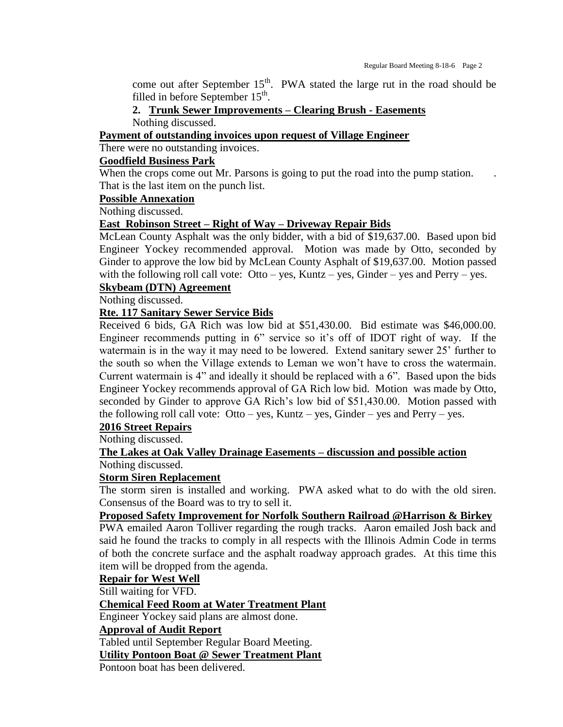come out after September  $15<sup>th</sup>$ . PWA stated the large rut in the road should be filled in before September  $15<sup>th</sup>$ .

## **2. Trunk Sewer Improvements – Clearing Brush - Easements**

Nothing discussed.

**Payment of outstanding invoices upon request of Village Engineer**

There were no outstanding invoices.

## **Goodfield Business Park**

When the crops come out Mr. Parsons is going to put the road into the pump station. That is the last item on the punch list.

#### **Possible Annexation**

Nothing discussed.

#### **East Robinson Street – Right of Way – Driveway Repair Bids**

McLean County Asphalt was the only bidder, with a bid of \$19,637.00. Based upon bid Engineer Yockey recommended approval. Motion was made by Otto, seconded by Ginder to approve the low bid by McLean County Asphalt of \$19,637.00. Motion passed with the following roll call vote:  $Ot$ to – yes, Kuntz – yes, Ginder – yes and Perry – yes.

## **Skybeam (DTN) Agreement**

Nothing discussed.

#### **Rte. 117 Sanitary Sewer Service Bids**

Received 6 bids, GA Rich was low bid at \$51,430.00. Bid estimate was \$46,000.00. Engineer recommends putting in 6" service so it's off of IDOT right of way. If the watermain is in the way it may need to be lowered. Extend sanitary sewer 25' further to the south so when the Village extends to Leman we won't have to cross the watermain. Current watermain is 4" and ideally it should be replaced with a 6". Based upon the bids Engineer Yockey recommends approval of GA Rich low bid. Motion was made by Otto, seconded by Ginder to approve GA Rich's low bid of \$51,430.00. Motion passed with the following roll call vote:  $Otto - yes$ , Kuntz – yes, Ginder – yes and Perry – yes.

## **2016 Street Repairs**

Nothing discussed.

## **The Lakes at Oak Valley Drainage Easements – discussion and possible action** Nothing discussed.

## **Storm Siren Replacement**

The storm siren is installed and working. PWA asked what to do with the old siren. Consensus of the Board was to try to sell it.

## **Proposed Safety Improvement for Norfolk Southern Railroad @Harrison & Birkey**

PWA emailed Aaron Tolliver regarding the rough tracks. Aaron emailed Josh back and said he found the tracks to comply in all respects with the Illinois Admin Code in terms of both the concrete surface and the asphalt roadway approach grades. At this time this item will be dropped from the agenda.

#### **Repair for West Well**

Still waiting for VFD.

#### **Chemical Feed Room at Water Treatment Plant**

Engineer Yockey said plans are almost done.

## **Approval of Audit Report**

Tabled until September Regular Board Meeting.

**Utility Pontoon Boat @ Sewer Treatment Plant**

Pontoon boat has been delivered.